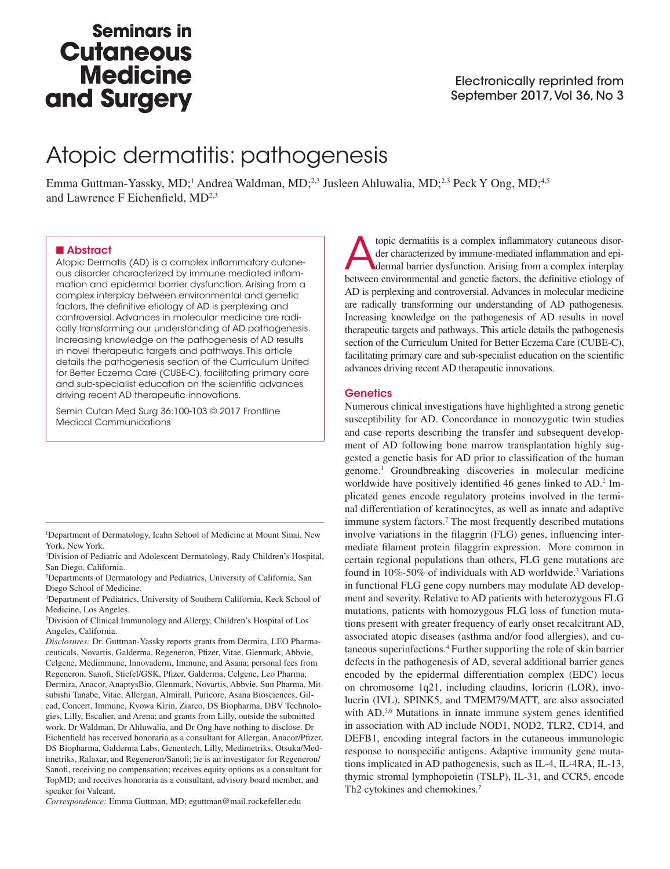# **Seminars in Cutaneous Medicine** and Surgery

# Atopic dermatitis: pathogenesis

Emma Guttman-Yassky, MD;<sup>1</sup> Andrea Waldman, MD;<sup>2,3</sup> Jusleen Ahluwalia, MD;<sup>2,3</sup> Peck Y Ong, MD;<sup>4,5</sup> and Lawrence F Eichenfield, MD<sup>2,3</sup>

### ■ Abstract

Atopic Dermatis (AD) is a complex inflammatory cutaneous disorder characterized by immune mediated inflammation and epidermal barrier dysfunction. Arising from a complex interplay between environmental and genetic factors, the definitive etiology of AD is perplexing and controversial. Advances in molecular medicine are radically transforming our understanding of AD pathogenesis. Increasing knowledge on the pathogenesis of AD results in novel therapeutic targets and pathways. This article details the pathogenesis section of the Curriculum United for Better Eczema Care (CUBE-C), facilitating primary care and sub-specialist education on the scientific advances driving recent AD therapeutic innovations.

Semin Cutan Med Surg 36:100-103 © 2017 Frontline Medical Communications

1 Department of Dermatology, Icahn School of Medicine at Mount Sinai, New York, New York.

2 Division of Pediatric and Adolescent Dermatology, Rady Children's Hospital, San Diego, California.

3 Departments of Dermatology and Pediatrics, University of California, San Diego School of Medicine.

4 Department of Pediatrics, University of Southern California, Keck School of Medicine, Los Angeles.

5 Division of Clinical Immunology and Allergy, Children's Hospital of Los Angeles, California.

*Disclosures:* Dr. Guttman-Yassky reports grants from Dermira, LEO Pharmaceuticals, Novartis, Galderma, Regeneron, Pfizer, Vitae, Glenmark, Abbvie, Celgene, Medimmune, Innovaderm, Immune, and Asana; personal fees from Regeneron, Sanofi, Stiefel/GSK, Pfizer, Galderma, Celgene, Leo Pharma, Dermira, Anacor, AnaptysBio, Glenmark, Novartis, Abbvie, Sun Pharma, Mitsubishi Tanabe, Vitae, Allergan, Almirall, Puricore, Asana Biosciences, Gilead, Concert, Immune, Kyowa Kirin, Ziarco, DS Biopharma, DBV Technologies, Lilly, Escalier, and Arena; and grants from Lilly, outside the submitted work. Dr Waldman, Dr Ahluwalia, and Dr Ong have nothing to disclose. Dr Eichenfield has received honoraria as a consultant for Allergan, Anacor/Pfizer, DS Biopharma, Galderma Labs, Genentech, Lilly, Medimetriks, Otsuka/Medimetriks, Ralaxar, and Regeneron/Sanofi; he is an investigator for Regeneron/ Sanofi, receiving no compensation; receives equity options as a consultant for TopMD; and receives honoraria as a consultant, advisory board member, and speaker for Valeant.

*Correspondence:* Emma Guttman, MD; eguttman@mail.rockefeller.edu

topic dermatitis is a complex inflammatory cutaneous disor-<br>der characterized by immune-mediated inflammation and epi-<br>dermal barrier dysfunction. Arising from a complex interplay<br>between ouriconmental and constitute fecto der characterized by immune-mediated inflammation and epibetween environmental and genetic factors, the definitive etiology of AD is perplexing and controversial. Advances in molecular medicine are radically transforming our understanding of AD pathogenesis. Increasing knowledge on the pathogenesis of AD results in novel therapeutic targets and pathways. This article details the pathogenesis section of the Curriculum United for Better Eczema Care (CUBE-C), facilitating primary care and sub-specialist education on the scientific advances driving recent AD therapeutic innovations.

### **Genetics**

Numerous clinical investigations have highlighted a strong genetic susceptibility for AD. Concordance in monozygotic twin studies and case reports describing the transfer and subsequent development of AD following bone marrow transplantation highly suggested a genetic basis for AD prior to classification of the human genome.1 Groundbreaking discoveries in molecular medicine worldwide have positively identified 46 genes linked to AD.<sup>2</sup> Implicated genes encode regulatory proteins involved in the terminal differentiation of keratinocytes, as well as innate and adaptive immune system factors.<sup>2</sup> The most frequently described mutations involve variations in the filaggrin (FLG) genes, influencing intermediate filament protein filaggrin expression. More common in certain regional populations than others, FLG gene mutations are found in 10%-50% of individuals with AD worldwide.<sup>3</sup> Variations in functional FLG gene copy numbers may modulate AD development and severity. Relative to AD patients with heterozygous FLG mutations, patients with homozygous FLG loss of function mutations present with greater frequency of early onset recalcitrant AD, associated atopic diseases (asthma and/or food allergies), and cutaneous superinfections.4 Further supporting the role of skin barrier defects in the pathogenesis of AD, several additional barrier genes encoded by the epidermal differentiation complex (EDC) locus on chromosome 1q21, including claudins, loricrin (LOR), involucrin (IVL), SPINK5, and TMEM79/MATT, are also associated with AD.<sup>5,6</sup> Mutations in innate immune system genes identified in association with AD include NOD1, NOD2, TLR2, CD14, and DEFB1, encoding integral factors in the cutaneous immunologic response to nonspecific antigens. Adaptive immunity gene mutations implicated in AD pathogenesis, such as IL-4, IL-4RA, IL-13, thymic stromal lymphopoietin (TSLP), IL-31, and CCR5, encode Th2 cytokines and chemokines.<sup>7</sup>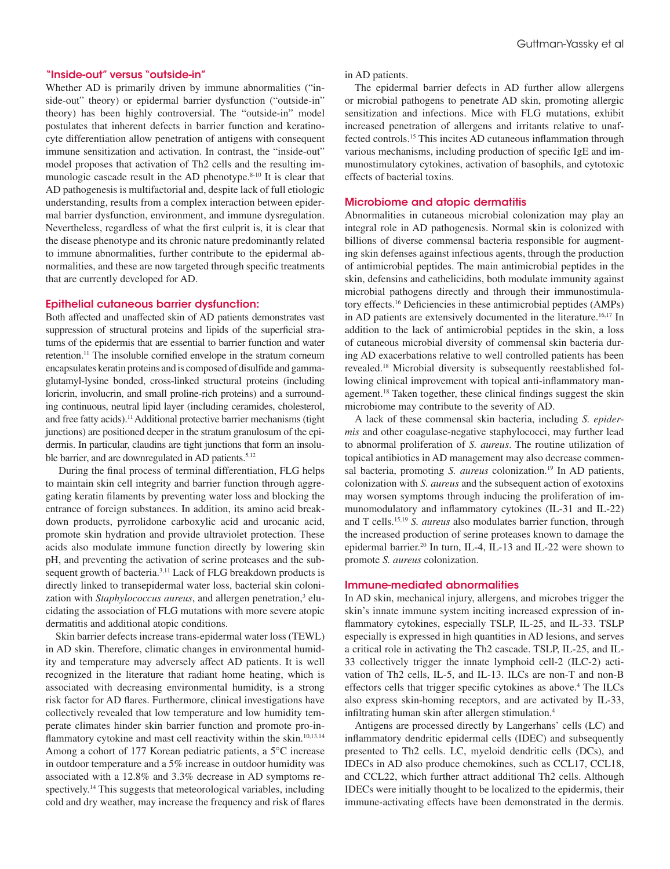#### "Inside-out" versus "outside-in"

Whether AD is primarily driven by immune abnormalities ("inside-out" theory) or epidermal barrier dysfunction ("outside-in" theory) has been highly controversial. The "outside-in" model postulates that inherent defects in barrier function and keratinocyte differentiation allow penetration of antigens with consequent immune sensitization and activation. In contrast, the "inside-out" model proposes that activation of Th2 cells and the resulting immunologic cascade result in the AD phenotype.8-10 It is clear that AD pathogenesis is multifactorial and, despite lack of full etiologic understanding, results from a complex interaction between epidermal barrier dysfunction, environment, and immune dysregulation. Nevertheless, regardless of what the first culprit is, it is clear that the disease phenotype and its chronic nature predominantly related to immune abnormalities, further contribute to the epidermal abnormalities, and these are now targeted through specific treatments that are currently developed for AD.

### Epithelial cutaneous barrier dysfunction:

Both affected and unaffected skin of AD patients demonstrates vast suppression of structural proteins and lipids of the superficial stratums of the epidermis that are essential to barrier function and water retention.11 The insoluble cornified envelope in the stratum corneum encapsulates keratin proteins and is composed of disulfide and gammaglutamyl-lysine bonded, cross-linked structural proteins (including loricrin, involucrin, and small proline-rich proteins) and a surrounding continuous, neutral lipid layer (including ceramides, cholesterol, and free fatty acids).11 Additional protective barrier mechanisms (tight junctions) are positioned deeper in the stratum granulosum of the epidermis. In particular, claudins are tight junctions that form an insoluble barrier, and are downregulated in AD patients.<sup>5,12</sup>

 During the final process of terminal differentiation, FLG helps to maintain skin cell integrity and barrier function through aggregating keratin filaments by preventing water loss and blocking the entrance of foreign substances. In addition, its amino acid breakdown products, pyrrolidone carboxylic acid and urocanic acid, promote skin hydration and provide ultraviolet protection. These acids also modulate immune function directly by lowering skin pH, and preventing the activation of serine proteases and the subsequent growth of bacteria.3,11 Lack of FLG breakdown products is directly linked to transepidermal water loss, bacterial skin colonization with Staphylococcus aureus, and allergen penetration,<sup>3</sup> elucidating the association of FLG mutations with more severe atopic dermatitis and additional atopic conditions.

Skin barrier defects increase trans-epidermal water loss (TEWL) in AD skin. Therefore, climatic changes in environmental humidity and temperature may adversely affect AD patients. It is well recognized in the literature that radiant home heating, which is associated with decreasing environmental humidity, is a strong risk factor for AD flares. Furthermore, clinical investigations have collectively revealed that low temperature and low humidity temperate climates hinder skin barrier function and promote pro-inflammatory cytokine and mast cell reactivity within the skin.<sup>10,13,14</sup> Among a cohort of 177 Korean pediatric patients, a 5°C increase in outdoor temperature and a 5% increase in outdoor humidity was associated with a 12.8% and 3.3% decrease in AD symptoms respectively.14 This suggests that meteorological variables, including cold and dry weather, may increase the frequency and risk of flares in AD patients.

The epidermal barrier defects in AD further allow allergens or microbial pathogens to penetrate AD skin, promoting allergic sensitization and infections. Mice with FLG mutations, exhibit increased penetration of allergens and irritants relative to unaffected controls.15 This incites AD cutaneous inflammation through various mechanisms, including production of specific IgE and immunostimulatory cytokines, activation of basophils, and cytotoxic effects of bacterial toxins.

## Microbiome and atopic dermatitis

Abnormalities in cutaneous microbial colonization may play an integral role in AD pathogenesis. Normal skin is colonized with billions of diverse commensal bacteria responsible for augmenting skin defenses against infectious agents, through the production of antimicrobial peptides. The main antimicrobial peptides in the skin, defensins and cathelicidins, both modulate immunity against microbial pathogens directly and through their immunostimulatory effects.16 Deficiencies in these antimicrobial peptides (AMPs) in AD patients are extensively documented in the literature.<sup>16,17</sup> In addition to the lack of antimicrobial peptides in the skin, a loss of cutaneous microbial diversity of commensal skin bacteria during AD exacerbations relative to well controlled patients has been revealed.18 Microbial diversity is subsequently reestablished following clinical improvement with topical anti-inflammatory management.18 Taken together, these clinical findings suggest the skin microbiome may contribute to the severity of AD.

A lack of these commensal skin bacteria, including *S. epidermis* and other coagulase-negative staphylococci, may further lead to abnormal proliferation of *S. aureus*. The routine utilization of topical antibiotics in AD management may also decrease commensal bacteria, promoting *S. aureus* colonization.<sup>19</sup> In AD patients, colonization with *S. aureus* and the subsequent action of exotoxins may worsen symptoms through inducing the proliferation of immunomodulatory and inflammatory cytokines (IL-31 and IL-22) and T cells.15,19 *S. aureus* also modulates barrier function, through the increased production of serine proteases known to damage the epidermal barrier.<sup>20</sup> In turn, IL-4, IL-13 and IL-22 were shown to promote *S. aureus* colonization.

#### Immune-mediated abnormalities

In AD skin, mechanical injury, allergens, and microbes trigger the skin's innate immune system inciting increased expression of inflammatory cytokines, especially TSLP, IL-25, and IL-33. TSLP especially is expressed in high quantities in AD lesions, and serves a critical role in activating the Th2 cascade. TSLP, IL-25, and IL-33 collectively trigger the innate lymphoid cell-2 (ILC-2) activation of Th2 cells, IL-5, and IL-13. ILCs are non-T and non-B effectors cells that trigger specific cytokines as above.<sup>4</sup> The ILCs also express skin-homing receptors, and are activated by IL-33, infiltrating human skin after allergen stimulation.4

Antigens are processed directly by Langerhans' cells (LC) and inflammatory dendritic epidermal cells (IDEC) and subsequently presented to Th2 cells. LC, myeloid dendritic cells (DCs), and IDECs in AD also produce chemokines, such as CCL17, CCL18, and CCL22, which further attract additional Th2 cells. Although IDECs were initially thought to be localized to the epidermis, their immune-activating effects have been demonstrated in the dermis.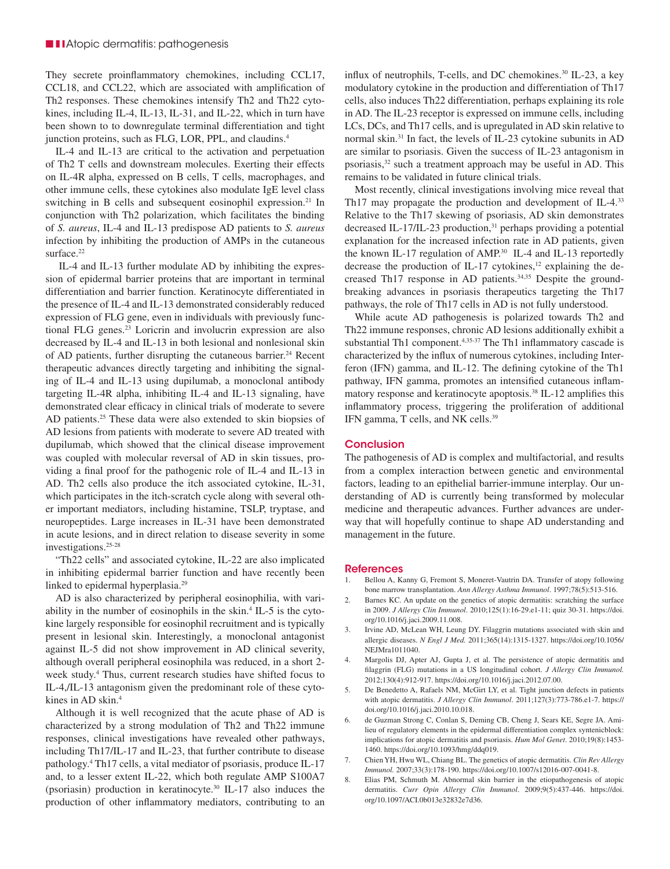They secrete proinflammatory chemokines, including CCL17, CCL18, and CCL22, which are associated with amplification of Th2 responses. These chemokines intensify Th2 and Th22 cytokines, including IL-4, IL-13, IL-31, and IL-22, which in turn have been shown to to downregulate terminal differentiation and tight junction proteins, such as FLG, LOR, PPL, and claudins.<sup>4</sup>

IL-4 and IL-13 are critical to the activation and perpetuation of Th2 T cells and downstream molecules. Exerting their effects on IL-4R alpha, expressed on B cells, T cells, macrophages, and other immune cells, these cytokines also modulate IgE level class switching in B cells and subsequent eosinophil expression.<sup>21</sup> In conjunction with Th2 polarization, which facilitates the binding of *S. aureus*, IL-4 and IL-13 predispose AD patients to *S. aureus*  infection by inhibiting the production of AMPs in the cutaneous surface.<sup>22</sup>

 IL-4 and IL-13 further modulate AD by inhibiting the expression of epidermal barrier proteins that are important in terminal differentiation and barrier function. Keratinocyte differentiated in the presence of IL-4 and IL-13 demonstrated considerably reduced expression of FLG gene, even in individuals with previously functional FLG genes.<sup>23</sup> Loricrin and involucrin expression are also decreased by IL-4 and IL-13 in both lesional and nonlesional skin of AD patients, further disrupting the cutaneous barrier.<sup>24</sup> Recent therapeutic advances directly targeting and inhibiting the signaling of IL-4 and IL-13 using dupilumab, a monoclonal antibody targeting IL-4R alpha, inhibiting IL-4 and IL-13 signaling, have demonstrated clear efficacy in clinical trials of moderate to severe AD patients.25 These data were also extended to skin biopsies of AD lesions from patients with moderate to severe AD treated with dupilumab, which showed that the clinical disease improvement was coupled with molecular reversal of AD in skin tissues, providing a final proof for the pathogenic role of IL-4 and IL-13 in AD. Th2 cells also produce the itch associated cytokine, IL-31, which participates in the itch-scratch cycle along with several other important mediators, including histamine, TSLP, tryptase, and neuropeptides. Large increases in IL-31 have been demonstrated in acute lesions, and in direct relation to disease severity in some investigations.25-28

"Th22 cells" and associated cytokine, IL-22 are also implicated in inhibiting epidermal barrier function and have recently been linked to epidermal hyperplasia.29

AD is also characterized by peripheral eosinophilia, with variability in the number of eosinophils in the skin.<sup>4</sup> IL-5 is the cytokine largely responsible for eosinophil recruitment and is typically present in lesional skin. Interestingly, a monoclonal antagonist against IL-5 did not show improvement in AD clinical severity, although overall peripheral eosinophila was reduced, in a short 2 week study.<sup>4</sup> Thus, current research studies have shifted focus to IL-4,/IL-13 antagonism given the predominant role of these cytokines in AD skin.<sup>4</sup>

Although it is well recognized that the acute phase of AD is characterized by a strong modulation of Th2 and Th22 immune responses, clinical investigations have revealed other pathways, including Th17/IL-17 and IL-23, that further contribute to disease pathology.4 Th17 cells, a vital mediator of psoriasis, produce IL-17 and, to a lesser extent IL-22, which both regulate AMP S100A7 (psoriasin) production in keratinocyte.30 IL-17 also induces the production of other inflammatory mediators, contributing to an

influx of neutrophils, T-cells, and DC chemokines.<sup>30</sup> IL-23, a key modulatory cytokine in the production and differentiation of Th17 cells, also induces Th22 differentiation, perhaps explaining its role in AD. The IL-23 receptor is expressed on immune cells, including LCs, DCs, and Th17 cells, and is upregulated in AD skin relative to normal skin.31 In fact, the levels of IL-23 cytokine subunits in AD are similar to psoriasis. Given the success of IL-23 antagonism in psoriasis,<sup>32</sup> such a treatment approach may be useful in AD. This remains to be validated in future clinical trials.

Most recently, clinical investigations involving mice reveal that Th<sub>17</sub> may propagate the production and development of IL-4.<sup>33</sup> Relative to the Th17 skewing of psoriasis, AD skin demonstrates decreased IL-17/IL-23 production,<sup>31</sup> perhaps providing a potential explanation for the increased infection rate in AD patients, given the known IL-17 regulation of AMP.30 IL-4 and IL-13 reportedly decrease the production of IL-17 cytokines, $12$  explaining the decreased Th17 response in AD patients.<sup>34,35</sup> Despite the groundbreaking advances in psoriasis therapeutics targeting the Th17 pathways, the role of Th17 cells in AD is not fully understood.

While acute AD pathogenesis is polarized towards Th2 and Th22 immune responses, chronic AD lesions additionally exhibit a substantial Th1 component.<sup>4,35-37</sup> The Th1 inflammatory cascade is characterized by the influx of numerous cytokines, including Interferon (IFN) gamma, and IL-12. The defining cytokine of the Th1 pathway, IFN gamma, promotes an intensified cutaneous inflammatory response and keratinocyte apoptosis.<sup>38</sup> IL-12 amplifies this inflammatory process, triggering the proliferation of additional IFN gamma, T cells, and NK cells.39

# **Conclusion**

The pathogenesis of AD is complex and multifactorial, and results from a complex interaction between genetic and environmental factors, leading to an epithelial barrier-immune interplay. Our understanding of AD is currently being transformed by molecular medicine and therapeutic advances. Further advances are underway that will hopefully continue to shape AD understanding and management in the future.

#### **References**

- 1. Bellou A, Kanny G, Fremont S, Moneret-Vautrin DA. Transfer of atopy following bone marrow transplantation. *Ann Allergy Asthma Immunol*. 1997;78(5):513-516.
- 2. Barnes KC. An update on the genetics of atopic dermatitis: scratching the surface in 2009. *J Allergy Clin Immunol*. 2010;125(1):16-29.e1-11; quiz 30-31. https://doi. org/10.1016/j.jaci.2009.11.008.
- 3. Irvine AD, McLean WH, Leung DY. Filaggrin mutations associated with skin and allergic diseases. *N Engl J Med.* 2011;365(14):1315-1327. https://doi.org/10.1056/ NEJMra1011040.
- 4. Margolis DJ, Apter AJ, Gupta J, et al. The persistence of atopic dermatitis and filaggrin (FLG) mutations in a US longitudinal cohort. *J Allergy Clin Immunol.* 2012;130(4):912-917. https://doi.org/10.1016/j.jaci.2012.07.00.
- 5. De Benedetto A, Rafaels NM, McGirt LY, et al. Tight junction defects in patients with atopic dermatitis. *J Allergy Clin Immunol*. 2011;127(3):773-786.e1-7. https:// doi.org/10.1016/j.jaci.2010.10.018.
- 6. de Guzman Strong C, Conlan S, Deming CB, Cheng J, Sears KE, Segre JA. Amilieu of regulatory elements in the epidermal differentiation complex syntenicblock: implications for atopic dermatitis and psoriasis. *Hum Mol Genet*. 2010;19(8):1453- 1460. https://doi.org/10.1093/hmg/ddq019.
- 7. Chien YH, Hwu WL, Chiang BL. The genetics of atopic dermatitis. *Clin Rev Allergy Immunol.* 2007;33(3):178-190. https://doi.org/10.1007/s12016-007-0041-8.
- 8. Elias PM, Schmuth M. Abnormal skin barrier in the etiopathogenesis of atopic dermatitis. *Curr Opin Allergy Clin Immunol*. 2009;9(5):437-446. https://doi. org/10.1097/ACI.0b013e32832e7d36.